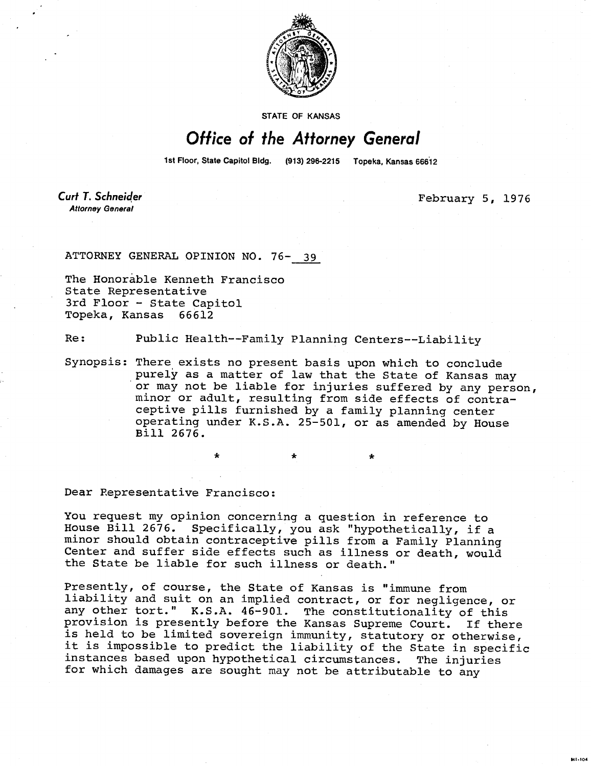

STATE OF KANSAS

## Office of the Attorney General

1st Floor, State Capitol Bldg. (913) 296-2215 Topeka, Kansas 66612

**Curt T. Schneider Attorney General** 

February 5, 1976

**MI-104** 

ATTORNEY GENERAL OPINION NO. 76- 39

The Honorable Kenneth Francisco State Representative 3rd Floor - State Capitol Topeka, Kansas 66612

Re: Public Health--Family Planning Centers--Liability

Synopsis: There exists no present basis upon which to conclude purely as a matter of law that the State of Kansas may or may not be liable for injuries suffered by any person, minor or adult, resulting from side effects of contraceptive pills furnished by a family planning center operating under K.S.A. 25-501, or as amended by House Bill 2676.

Dear Representative Francisco:

You request my opinion concerning a question in reference to House Bill 2676. Specifically, you ask "hypothetically, if a minor should obtain contraceptive pills from a Family Planning Center and suffer side effects such as illness or death, would the State be liable for such illness or death."

Presently, of course, the State of Kansas is "immune from liability and suit on an implied contract, or for negligence, or any other tort." K.S.A. 46-901. The constitutionality of this provision is presently before the Kansas Supreme Court. If there is held to be limited sovereign immunity, statutory or otherwise, it is impossible to predict the liability of the State in specific instances based upon hypothetical circumstances. The injuries for which damages are sought may not be attributable to any